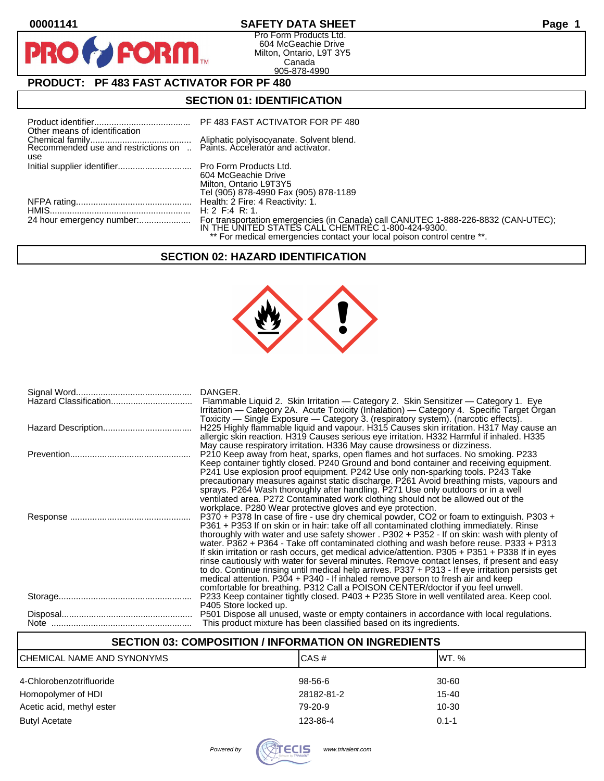$\bullet$ 

PR

# **00001141 SAFETY DATA SHEET Page 1**

Pro Form Products Ltd. 604 McGeachie Drive Milton, Ontario, L9T 3Y5 Canada 905-878-4990

# **PRODUCT: PF 483 FAST ACTIVATOR FOR PF 480**

**FORM** 

## **SECTION 01: IDENTIFICATION**

| Initial supplier identifier Pro Form Products Ltd.<br>604 McGeachie Drive<br>Milton, Ontario L9T3Y5<br>Tel (905) 878-4990 Fax (905) 878-1189                                                                        |
|---------------------------------------------------------------------------------------------------------------------------------------------------------------------------------------------------------------------|
|                                                                                                                                                                                                                     |
| For transportation emergencies (in Canada) call CANUTEC 1-888-226-8832 (CAN-UTEC);<br>IN THE UNITED STATES CALL CHEMTREC 1-800-424-9300.<br>** For medical emergencies contact your local poison control centre **. |
|                                                                                                                                                                                                                     |

# **SECTION 02: HAZARD IDENTIFICATION**



| Hazard Classification | DANGER.<br>Flammable Liquid 2. Skin Irritation — Category 2. Skin Sensitizer — Category 1. Eye<br>Irritation — Category 2A. Acute Toxicity (Inhalation) — Category 4. Specific Target Organ<br>Toxicity — Single Exposure — Category 3. (respiratory system). (narcotic effects).                                                                                                                                                                                                                                                                                                                                                                                                                                                                                                                                                                        |
|-----------------------|----------------------------------------------------------------------------------------------------------------------------------------------------------------------------------------------------------------------------------------------------------------------------------------------------------------------------------------------------------------------------------------------------------------------------------------------------------------------------------------------------------------------------------------------------------------------------------------------------------------------------------------------------------------------------------------------------------------------------------------------------------------------------------------------------------------------------------------------------------|
|                       | H225 Highly flammable liquid and vapour. H315 Causes skin irritation. H317 May cause an<br>allergic skin reaction. H319 Causes serious eye irritation. H332 Harmful if inhaled. H335<br>May cause respiratory irritation. H336 May cause drowsiness or dizziness.                                                                                                                                                                                                                                                                                                                                                                                                                                                                                                                                                                                        |
|                       | P210 Keep away from heat, sparks, open flames and hot surfaces. No smoking. P233<br>Keep container tightly closed. P240 Ground and bond container and receiving equipment.<br>P241 Use explosion proof equipment. P242 Use only non-sparking tools. P243 Take<br>precautionary measures against static discharge. P261 Avoid breathing mists, vapours and<br>sprays. P264 Wash thoroughly after handling. P271 Use only outdoors or in a well<br>ventilated area. P272 Contaminated work clothing should not be allowed out of the<br>workplace. P280 Wear protective gloves and eye protection.                                                                                                                                                                                                                                                         |
|                       | P370 + P378 In case of fire - use dry chemical powder, CO2 or foam to extinguish. P303 +<br>P361 + P353 If on skin or in hair: take off all contaminated clothing immediately. Rinse<br>thoroughly with water and use safety shower . P302 + P352 - If on skin: wash with plenty of<br>water. P362 + P364 - Take off contaminated clothing and wash before reuse. P333 + P313<br>If skin irritation or rash occurs, get medical advice/attention. P305 + P351 + P338 If in eyes<br>rinse cautiously with water for several minutes. Remove contact lenses, if present and easy<br>to do. Continue rinsing until medical help arrives. P337 + P313 - If eye irritation persists get<br>medical attention. P304 + P340 - If inhaled remove person to fresh air and keep<br>comfortable for breathing. P312 Call a POISON CENTER/doctor if you feel unwell. |
|                       | P233 Keep container tightly closed. P403 + P235 Store in well ventilated area. Keep cool.<br>P405 Store locked up.                                                                                                                                                                                                                                                                                                                                                                                                                                                                                                                                                                                                                                                                                                                                       |
|                       | P501 Dispose all unused, waste or empty containers in accordance with local regulations.<br>This product mixture has been classified based on its ingredients.                                                                                                                                                                                                                                                                                                                                                                                                                                                                                                                                                                                                                                                                                           |

# **SECTION 03: COMPOSITION / INFORMATION ON INGREDIENTS** CHEMICAL NAME AND SYNONYMS CHEMICAL NAME AND SYNONYMS 4-Chlorobenzotrifluoride 98-56-6 30-60 Homopolymer of HDI 28182-81-2 28182-81-2 Acetic acid, methyl ester **10-30** 10-30 Butyl Acetate **123-86-4** 0.1-1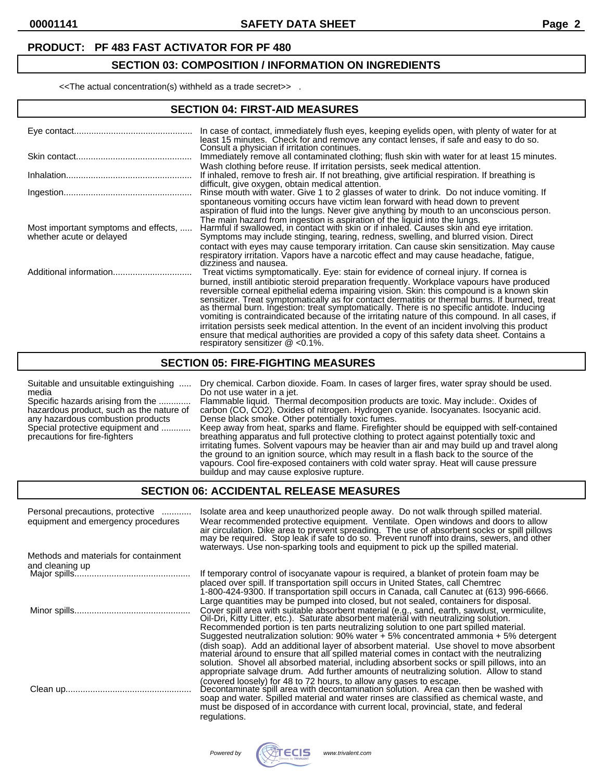#### **PRODUCT: PF 483 FAST ACTIVATOR FOR PF 480**

#### **SECTION 03: COMPOSITION / INFORMATION ON INGREDIENTS**

<<The actual concentration(s) withheld as a trade secret>> .

#### **SECTION 04: FIRST-AID MEASURES**

|                                                                  | In case of contact, immediately flush eyes, keeping eyelids open, with plenty of water for at<br>least 15 minutes. Check for and remove any contact lenses, if safe and easy to do so.<br>Consult a physician if irritation continues.                                                                                                                                                                                                                                                                                                                                                                                                                                                                                                                                                                                   |
|------------------------------------------------------------------|--------------------------------------------------------------------------------------------------------------------------------------------------------------------------------------------------------------------------------------------------------------------------------------------------------------------------------------------------------------------------------------------------------------------------------------------------------------------------------------------------------------------------------------------------------------------------------------------------------------------------------------------------------------------------------------------------------------------------------------------------------------------------------------------------------------------------|
|                                                                  | Immediately remove all contaminated clothing; flush skin with water for at least 15 minutes.                                                                                                                                                                                                                                                                                                                                                                                                                                                                                                                                                                                                                                                                                                                             |
|                                                                  | Wash clothing before reuse. If irritation persists, seek medical attention.<br>If inhaled, remove to fresh air. If not breathing, give artificial respiration. If breathing is                                                                                                                                                                                                                                                                                                                                                                                                                                                                                                                                                                                                                                           |
|                                                                  | difficult, give oxygen, obtain medical attention.<br>Rinse mouth with water. Give 1 to 2 glasses of water to drink. Do not induce vomiting. If<br>spontaneous vomiting occurs have victim lean forward with head down to prevent<br>aspiration of fluid into the lungs. Never give anything by mouth to an unconscious person.                                                                                                                                                                                                                                                                                                                                                                                                                                                                                           |
| Most important symptoms and effects,<br>whether acute or delayed | The main hazard from ingestion is aspiration of the liquid into the lungs.<br>Harmful if swallowed, in contact with skin or if inhaled. Causes skin and eye irritation.<br>Symptoms may include stinging, tearing, redness, swelling, and blurred vision. Direct<br>contact with eyes may cause temporary irritation. Can cause skin sensitization. May cause<br>respiratory irritation. Vapors have a narcotic effect and may cause headache, fatigue,<br>dizziness and nausea.                                                                                                                                                                                                                                                                                                                                         |
| Additional information                                           | Treat victims symptomatically. Eye: stain for evidence of corneal injury. If cornea is<br>burned, instill antibiotic steroid preparation frequently. Workplace vapours have produced<br>reversible corneal epithelial edema impairing vision. Skin: this compound is a known skin<br>sensitizer. Treat symptomatically as for contact dermatitis or thermal burns. If burned, treat<br>as thermal burn. Ingestion: treat symptomatically. There is no specific antidote. Inducing<br>vomiting is contraindicated because of the irritating nature of this compound. In all cases, if<br>irritation persists seek medical attention. In the event of an incident involving this product<br>ensure that medical authorities are provided a copy of this safety data sheet. Contains a<br>respiratory sensitizer $@$ <0.1%. |

#### **SECTION 05: FIRE-FIGHTING MEASURES**

| Suitable and unsuitable extinguishing<br>media<br>Specific hazards arising from the<br>hazardous product, such as the nature of<br>any hazardous combustion products<br>Special protective equipment and<br>precautions for fire-fighters | Dry chemical. Carbon dioxide. Foam. In cases of larger fires, water spray should be used.<br>Do not use water in a jet.<br>Flammable liquid. Thermal decomposition products are toxic. May include: Oxides of<br>carbon (CO, CO2). Oxides of nitrogen. Hydrogen cyanide. Isocyanates. Isocyanic acid.<br>Dense black smoke. Other potentially toxic fumes.<br>Keep away from heat, sparks and flame. Firefighter should be equipped with self-contained<br>breathing apparatus and full protective clothing to protect against potentially toxic and<br>irritating fumes. Solvent vapours may be heavier than air and may build up and travel along<br>the ground to an ignition source, which may result in a flash back to the source of the<br>vapours. Cool fire-exposed containers with cold water spray. Heat will cause pressure<br>buildup and may cause explosive rupture. |
|-------------------------------------------------------------------------------------------------------------------------------------------------------------------------------------------------------------------------------------------|-------------------------------------------------------------------------------------------------------------------------------------------------------------------------------------------------------------------------------------------------------------------------------------------------------------------------------------------------------------------------------------------------------------------------------------------------------------------------------------------------------------------------------------------------------------------------------------------------------------------------------------------------------------------------------------------------------------------------------------------------------------------------------------------------------------------------------------------------------------------------------------|
|-------------------------------------------------------------------------------------------------------------------------------------------------------------------------------------------------------------------------------------------|-------------------------------------------------------------------------------------------------------------------------------------------------------------------------------------------------------------------------------------------------------------------------------------------------------------------------------------------------------------------------------------------------------------------------------------------------------------------------------------------------------------------------------------------------------------------------------------------------------------------------------------------------------------------------------------------------------------------------------------------------------------------------------------------------------------------------------------------------------------------------------------|

#### **SECTION 06: ACCIDENTAL RELEASE MEASURES**

| Personal precautions, protective<br>equipment and emergency procedures | Isolate area and keep unauthorized people away. Do not walk through spilled material.<br>Wear recommended protective equipment. Ventilate. Open windows and doors to allow<br>air circulation. Dike area to prevent spreading. The use of absorbent socks or spill pillows may be required. Stop leak if safe to do so. Prevent runoff into drains, sewers, and other<br>waterways. Use non-sparking tools and equipment to pick up the spilled material.                                                                                                    |
|------------------------------------------------------------------------|--------------------------------------------------------------------------------------------------------------------------------------------------------------------------------------------------------------------------------------------------------------------------------------------------------------------------------------------------------------------------------------------------------------------------------------------------------------------------------------------------------------------------------------------------------------|
| Methods and materials for containment                                  |                                                                                                                                                                                                                                                                                                                                                                                                                                                                                                                                                              |
| and cleaning up                                                        |                                                                                                                                                                                                                                                                                                                                                                                                                                                                                                                                                              |
|                                                                        | If temporary control of isocyanate vapour is required, a blanket of protein foam may be<br>placed over spill. If transportation spill occurs in United States, call Chemtrec<br>1-800-424-9300. If transportation spill occurs in Canada, call Canutec at (613) 996-6666.                                                                                                                                                                                                                                                                                    |
|                                                                        | Large quantities may be pumped into closed, but not sealed, containers for disposal.<br>Cover spill area with suitable absorbent material (e.g., sand, earth, sawdust, vermiculite,<br>Oil-Dri, Kitty Litter, etc.). Saturate absorbent material with neutralizing solution.<br>Recommended portion is ten parts neutralizing solution to one part spilled material.<br>Suggested neutralization solution: $90\%$ water + 5% concentrated ammonia + 5% detergent<br>(dish soap). Add an additional layer of absorbent material. Use shovel to move absorbent |
|                                                                        | material around to ensure that all spilled material comes in contact with the neutralizing<br>solution. Shovel all absorbed material, including absorbent socks or spill pillows, into an<br>appropriate salvage drum. Add further amounts of neutralizing solution. Allow to stand                                                                                                                                                                                                                                                                          |
|                                                                        | (covered loosely) for 48 to 72 hours, to allow any gases to escape.<br>Decontaminate spill area with decontamination solution. Area can then be washed with<br>soap and water. Spilled material and water rinses are classified as chemical waste, and<br>must be disposed of in accordance with current local, provincial, state, and federal<br>regulations.                                                                                                                                                                                               |

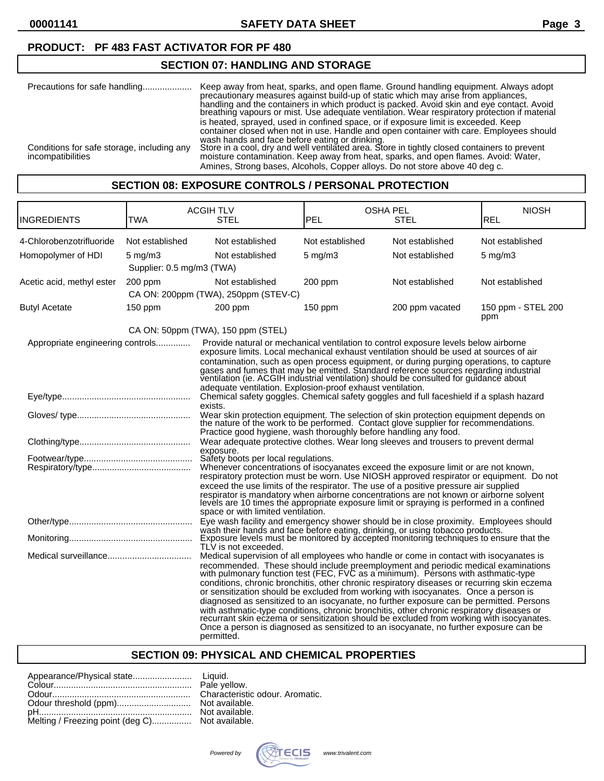**00001141 SAFETY DATA SHEET Page 3**

## **PRODUCT: PF 483 FAST ACTIVATOR FOR PF 480**

#### **SECTION 07: HANDLING AND STORAGE**

| Precautions for safe handling                                   | Keep away from heat, sparks, and open flame. Ground handling equipment. Always adopt<br>precautionary measures against build-up of static which may arise from appliances.<br>handling and the containers in which product is packed. Avoid skin and eye contact. Avoid<br>breathing vapours or mist. Use adequate ventilation. Wear respiratory protection if material                                                                                                                               |
|-----------------------------------------------------------------|-------------------------------------------------------------------------------------------------------------------------------------------------------------------------------------------------------------------------------------------------------------------------------------------------------------------------------------------------------------------------------------------------------------------------------------------------------------------------------------------------------|
| Conditions for safe storage, including any<br>incompatibilities | is heated, sprayed, used in confined space, or if exposure limit is exceeded. Keep<br>container closed when not in use. Handle and open container with care. Employees should<br>wash hands and face before eating or drinking.<br>Store in a cool, dry and well ventilated area. Store in tightly closed containers to prevent<br>moisture contamination. Keep away from heat, sparks, and open flames. Avoid: Water,<br>Amines, Strong bases, Alcohols, Copper alloys. Do not store above 40 deg c. |

#### **SECTION 08: EXPOSURE CONTROLS / PERSONAL PROTECTION**

| INGREDIENTS                      | <b>TWA</b>                | <b>ACGIH TLV</b><br>STEL                                                                                                                                                                                                                                                                                                                                                                                                                                                                                                                                                                                                                                                                                                                                                                                                                       | OSHA PEL<br>PEL    | STEL            | <b>NIOSH</b><br><b>REL</b> |
|----------------------------------|---------------------------|------------------------------------------------------------------------------------------------------------------------------------------------------------------------------------------------------------------------------------------------------------------------------------------------------------------------------------------------------------------------------------------------------------------------------------------------------------------------------------------------------------------------------------------------------------------------------------------------------------------------------------------------------------------------------------------------------------------------------------------------------------------------------------------------------------------------------------------------|--------------------|-----------------|----------------------------|
| 4-Chlorobenzotrifluoride         | Not established           | Not established                                                                                                                                                                                                                                                                                                                                                                                                                                                                                                                                                                                                                                                                                                                                                                                                                                | Not established    | Not established | Not established            |
| Homopolymer of HDI               | $5 \text{ mg/m}$          | Not established                                                                                                                                                                                                                                                                                                                                                                                                                                                                                                                                                                                                                                                                                                                                                                                                                                | $5 \text{ mg/m}$ 3 | Not established | $5 \text{ mg/m}$           |
|                                  | Supplier: 0.5 mg/m3 (TWA) |                                                                                                                                                                                                                                                                                                                                                                                                                                                                                                                                                                                                                                                                                                                                                                                                                                                |                    |                 |                            |
| Acetic acid, methyl ester        | 200 ppm                   | Not established                                                                                                                                                                                                                                                                                                                                                                                                                                                                                                                                                                                                                                                                                                                                                                                                                                | $200$ ppm          | Not established | Not established            |
|                                  |                           | CA ON: 200ppm (TWA), 250ppm (STEV-C)                                                                                                                                                                                                                                                                                                                                                                                                                                                                                                                                                                                                                                                                                                                                                                                                           |                    |                 |                            |
| <b>Butyl Acetate</b>             | $150$ ppm                 | $200$ ppm                                                                                                                                                                                                                                                                                                                                                                                                                                                                                                                                                                                                                                                                                                                                                                                                                                      | 150 ppm            | 200 ppm vacated | 150 ppm - STEL 200<br>ppm  |
|                                  |                           | CA ON: 50ppm (TWA), 150 ppm (STEL)                                                                                                                                                                                                                                                                                                                                                                                                                                                                                                                                                                                                                                                                                                                                                                                                             |                    |                 |                            |
| Appropriate engineering controls |                           | Provide natural or mechanical ventilation to control exposure levels below airborne<br>exposure limits. Local mechanical exhaust ventilation should be used at sources of air<br>contamination, such as open process equipment, or during purging operations, to capture<br>gases and fumes that may be emitted. Standard reference sources regarding industrial<br>ventilation (ie. ACGIH industrial ventilation) should be consulted for guidance about<br>adequate ventilation. Explosion-proof exhaust ventilation.                                                                                                                                                                                                                                                                                                                        |                    |                 |                            |
|                                  |                           | Chemical safety goggles. Chemical safety goggles and full faceshield if a splash hazard                                                                                                                                                                                                                                                                                                                                                                                                                                                                                                                                                                                                                                                                                                                                                        |                    |                 |                            |
|                                  |                           | exists.<br>Wear skin protection equipment. The selection of skin protection equipment depends on the nature of the work to be performed. Contact glove supplier for recommendations.<br>Practice good hygiene, wash thoroughly before handling any food.                                                                                                                                                                                                                                                                                                                                                                                                                                                                                                                                                                                       |                    |                 |                            |
|                                  |                           | Wear adequate protective clothes. Wear long sleeves and trousers to prevent dermal                                                                                                                                                                                                                                                                                                                                                                                                                                                                                                                                                                                                                                                                                                                                                             |                    |                 |                            |
|                                  |                           | exposure.<br>Safety boots per local regulations.<br>Whenever concentrations of isocyanates exceed the exposure limit or are not known,<br>respiratory protection must be worn. Use NIOSH approved respirator or equipment. Do not<br>exceed the use limits of the respirator. The use of a positive pressure air supplied<br>respirator is mandatory when airborne concentrations are not known or airborne solvent<br>levels are 10 times the appropriate exposure limit or spraying is performed in a confined<br>space or with limited ventilation.                                                                                                                                                                                                                                                                                         |                    |                 |                            |
|                                  |                           | Eye wash facility and emergency shower should be in close proximity. Employees should<br>wash their hands and face before eating, drinking, or using tobacco products.                                                                                                                                                                                                                                                                                                                                                                                                                                                                                                                                                                                                                                                                         |                    |                 |                            |
|                                  |                           | Exposure levels must be monitored by accepted monitoring techniques to ensure that the<br>TLV is not exceeded.                                                                                                                                                                                                                                                                                                                                                                                                                                                                                                                                                                                                                                                                                                                                 |                    |                 |                            |
|                                  |                           | Medical supervision of all employees who handle or come in contact with isocyanates is<br>recommended. These should include preemployment and periodic medical examinations with pulmonary function test (FEC, FVC as a minimum). Persons with asthmatic-type<br>conditions, chronic bronchitis, other chronic respiratory diseases or recurring skin eczema<br>or sensitization should be excluded from working with isocyanates. Once a person is<br>diagnosed as sensitized to an isocyanate, no further exposure can be permitted. Persons<br>with asthmatic-type conditions, chronic bronchitis, other chronic respiratory diseases or<br>recurrant skin eczema or sensitization should be excluded from working with isocyanates.<br>Once a person is diagnosed as sensitized to an isocyanate, no further exposure can be<br>permitted. |                    |                 |                            |

#### **SECTION 09: PHYSICAL AND CHEMICAL PROPERTIES**

| Melting / Freezing point (deg C) Not available. |  |
|-------------------------------------------------|--|

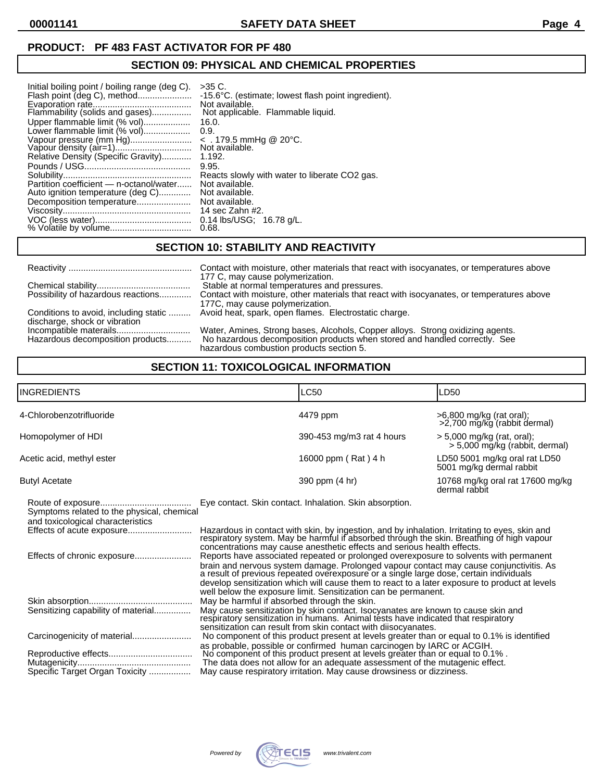**00001141 SAFETY DATA SHEET Page 4**

## **PRODUCT: PF 483 FAST ACTIVATOR FOR PF 480**

#### **SECTION 09: PHYSICAL AND CHEMICAL PROPERTIES**

| Initial boiling point / boiling range (deg C).<br>Flash point (deg C), method | $>35$ C.<br>-15.6 °C. (estimate; lowest flash point ingredient).<br>Not available.<br>Not applicable. Flammable liquid. |
|-------------------------------------------------------------------------------|-------------------------------------------------------------------------------------------------------------------------|
| Upper flammable limit (% vol)                                                 | 16.0.                                                                                                                   |
| Lower flammable limit (% vol)                                                 | 0.9.                                                                                                                    |
| Vapour pressure (mm Hg)                                                       | $\sim$ . 179.5 mmHg @ 20°C.                                                                                             |
|                                                                               | Not available.                                                                                                          |
| Relative Density (Specific Gravity)                                           | 1.192.                                                                                                                  |
|                                                                               | 9.95.                                                                                                                   |
|                                                                               | Reacts slowly with water to liberate CO2 gas.                                                                           |
| Partition coefficient - n-octanol/water                                       | Not available.                                                                                                          |
| Auto ignition temperature (deg C)                                             | Not available.                                                                                                          |
| Decomposition temperature                                                     | Not available.                                                                                                          |
|                                                                               | 14 sec Zahn #2.                                                                                                         |
|                                                                               | $0.14$ lbs/USG; $16.78$ g/L.                                                                                            |
|                                                                               | 0.68.                                                                                                                   |

#### **SECTION 10: STABILITY AND REACTIVITY**

|                                                                        | Contact with moisture, other materials that react with isocyanates, or temperatures above                                                                                                                |
|------------------------------------------------------------------------|----------------------------------------------------------------------------------------------------------------------------------------------------------------------------------------------------------|
|                                                                        | 177 C, may cause polymerization.<br>Stable at normal temperatures and pressures.                                                                                                                         |
| Possibility of hazardous reactions                                     | Contact with moisture, other materials that react with isocyanates, or temperatures above<br>177C, may cause polymerization.                                                                             |
| Conditions to avoid, including static<br>discharge, shock or vibration | Avoid heat, spark, open flames. Electrostatic charge.                                                                                                                                                    |
| Hazardous decomposition products                                       | Water, Amines, Strong bases, Alcohols, Copper alloys. Strong oxidizing agents.<br>No hazardous decomposition products when stored and handled correctly. See<br>hazardous combustion products section 5. |

### **SECTION 11: TOXICOLOGICAL INFORMATION**

| <b>INGREDIENTS</b>                                                              |                                                                                                                                                                                                                                                                                                                                                                                                                                              | <b>LC50</b>                                                                                                                                                                                                                             | LD50                                                           |
|---------------------------------------------------------------------------------|----------------------------------------------------------------------------------------------------------------------------------------------------------------------------------------------------------------------------------------------------------------------------------------------------------------------------------------------------------------------------------------------------------------------------------------------|-----------------------------------------------------------------------------------------------------------------------------------------------------------------------------------------------------------------------------------------|----------------------------------------------------------------|
| 4-Chlorobenzotrifluoride                                                        |                                                                                                                                                                                                                                                                                                                                                                                                                                              | 4479 ppm                                                                                                                                                                                                                                | >6,800 mg/kg (rat oral);<br>>2,700 mg/kg (rabbit dermal)       |
| Homopolymer of HDI                                                              |                                                                                                                                                                                                                                                                                                                                                                                                                                              | 390-453 mg/m3 rat 4 hours                                                                                                                                                                                                               | $>$ 5,000 mg/kg (rat, oral);<br>> 5,000 mg/kg (rabbit, dermal) |
| Acetic acid, methyl ester                                                       |                                                                                                                                                                                                                                                                                                                                                                                                                                              | 16000 ppm (Rat) 4 h                                                                                                                                                                                                                     | LD50 5001 mg/kg oral rat LD50<br>5001 mg/kg dermal rabbit      |
| <b>Butyl Acetate</b>                                                            |                                                                                                                                                                                                                                                                                                                                                                                                                                              | 390 ppm (4 hr)                                                                                                                                                                                                                          | 10768 mg/kg oral rat 17600 mg/kg<br>dermal rabbit              |
| Symptoms related to the physical, chemical<br>and toxicological characteristics |                                                                                                                                                                                                                                                                                                                                                                                                                                              | Eye contact. Skin contact. Inhalation. Skin absorption.                                                                                                                                                                                 |                                                                |
|                                                                                 | Hazardous in contact with skin, by ingestion, and by inhalation. Irritating to eyes, skin and<br>respiratory system. May be harmful if absorbed through the skin. Breathing of high vapour<br>concentrations may cause anesthetic effects and serious health effects.                                                                                                                                                                        |                                                                                                                                                                                                                                         |                                                                |
|                                                                                 | Reports have associated repeated or prolonged overexposure to solvents with permanent<br>brain and nervous system damage. Prolonged vapour contact may cause conjunctivitis. As<br>a result of previous repeated overexposure or a single large dose, certain individuals<br>develop sensitization which will cause them to react to a later exposure to product at levels<br>well below the exposure limit. Sensitization can be permanent. |                                                                                                                                                                                                                                         |                                                                |
| Sensitizing capability of material                                              | May be harmful if absorbed through the skin.                                                                                                                                                                                                                                                                                                                                                                                                 | May cause sensitization by skin contact. Isocyanates are known to cause skin and<br>respiratory sensitization in humans. Animal tests have indicated that respiratory<br>sensitization can result from skin contact with diisocyanates. |                                                                |

Carcinogenicity of material........................ No component of this product present at levels greater than or equal to 0.1% is identified

|                                | as probable, possible or confirmed human carcinogen by IARC or ACGIH.         |
|--------------------------------|-------------------------------------------------------------------------------|
| Reproductive effects           | No component of this product present at levels greater than or equal to 0.1%. |
| Mutagenicity                   | The data does not allow for an adequate assessment of the mutagenic effect.   |
| Specific Target Organ Toxicity | May cause respiratory irritation. May cause drowsiness or dizziness.          |